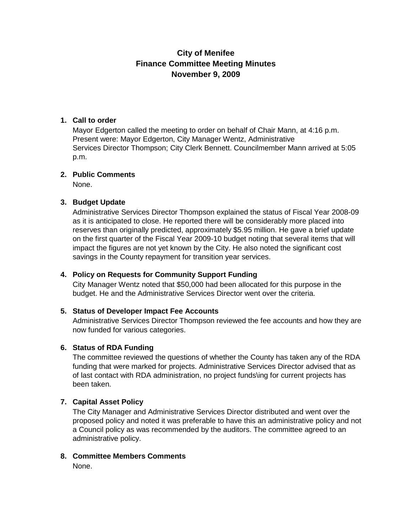# **City of Menifee Finance Committee Meeting Minutes November 9, 2009**

#### **1. Call to order**

Mayor Edgerton called the meeting to order on behalf of Chair Mann, at 4:16 p.m. Present were: Mayor Edgerton, City Manager Wentz, Administrative Services Director Thompson; City Clerk Bennett. Councilmember Mann arrived at 5:05 p.m.

#### **2. Public Comments**

None.

# **3. Budget Update**

Administrative Services Director Thompson explained the status of Fiscal Year 2008-09 as it is anticipated to close. He reported there will be considerably more placed into reserves than originally predicted, approximately \$5.95 million. He gave a brief update on the first quarter of the Fiscal Year 2009-10 budget noting that several items that will impact the figures are not yet known by the City. He also noted the significant cost savings in the County repayment for transition year services.

# **4. Policy on Requests for Community Support Funding**

City Manager Wentz noted that \$50,000 had been allocated for this purpose in the budget. He and the Administrative Services Director went over the criteria.

# **5. Status of Developer Impact Fee Accounts**

Administrative Services Director Thompson reviewed the fee accounts and how they are now funded for various categories.

# **6. Status of RDA Funding**

The committee reviewed the questions of whether the County has taken any of the RDA funding that were marked for projects. Administrative Services Director advised that as of last contact with RDA administration, no project funds\ing for current projects has been taken.

# **7. Capital Asset Policy**

The City Manager and Administrative Services Director distributed and went over the proposed policy and noted it was preferable to have this an administrative policy and not a Council policy as was recommended by the auditors. The committee agreed to an administrative policy.

# **8. Committee Members Comments**

None.